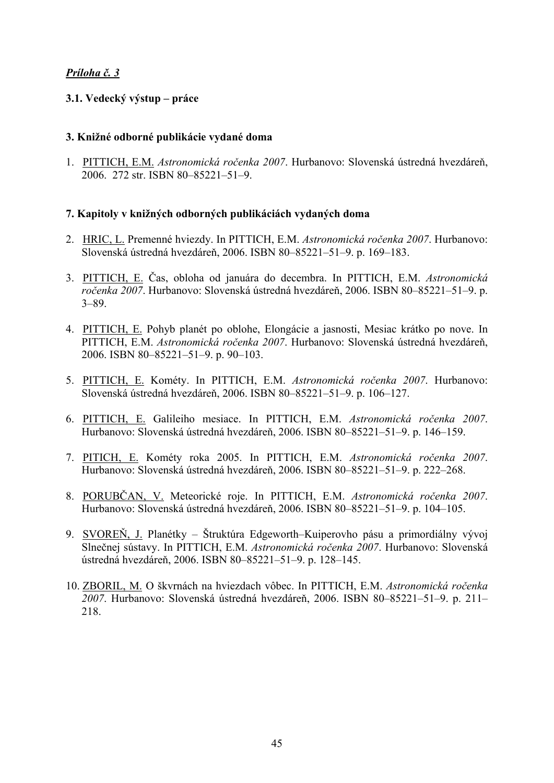# *Príloha č. 3*

# **3.1. Vedecký výstup – práce**

### **3. Knižné odborné publikácie vydané doma**

1. PITTICH, E.M. *Astronomická ročenka 2007*. Hurbanovo: Slovenská ústredná hvezdáreň, 2006. 272 str. ISBN 80–85221–51–9.

### **7. Kapitoly v knižných odborných publikáciách vydaných doma**

- 2. HRIC, L. Premenné hviezdy. In PITTICH, E.M. *Astronomická ročenka 2007*. Hurbanovo: Slovenská ústredná hvezdáreň, 2006. ISBN 80–85221–51–9. p. 169–183.
- 3. PITTICH, E. Čas, obloha od januára do decembra. In PITTICH, E.M. *Astronomická ročenka 2007*. Hurbanovo: Slovenská ústredná hvezdáreň, 2006. ISBN 80–85221–51–9. p. 3–89.
- 4. PITTICH, E. Pohyb planét po oblohe, Elongácie a jasnosti, Mesiac krátko po nove. In PITTICH, E.M. *Astronomická ročenka 2007*. Hurbanovo: Slovenská ústredná hvezdáreň, 2006. ISBN 80–85221–51–9. p. 90–103.
- 5. PITTICH, E. Kométy. In PITTICH, E.M. *Astronomická ročenka 2007*. Hurbanovo: Slovenská ústredná hvezdáreň, 2006. ISBN 80–85221–51–9. p. 106–127.
- 6. PITTICH, E. Galileiho mesiace. In PITTICH, E.M. *Astronomická ročenka 2007*. Hurbanovo: Slovenská ústredná hvezdáreň, 2006. ISBN 80–85221–51–9. p. 146–159.
- 7. PITICH, E. Kométy roka 2005. In PITTICH, E.M. *Astronomická ročenka 2007*. Hurbanovo: Slovenská ústredná hvezdáreň, 2006. ISBN 80–85221–51–9. p. 222–268.
- 8. PORUBČAN, V. Meteorické roje. In PITTICH, E.M. *Astronomická ročenka 2007*. Hurbanovo: Slovenská ústredná hvezdáreň, 2006. ISBN 80–85221–51–9. p. 104–105.
- 9. SVOREŇ, J. Planétky Štruktúra Edgeworth–Kuiperovho pásu a primordiálny vývoj Slnečnej sústavy. In PITTICH, E.M. *Astronomická ročenka 2007*. Hurbanovo: Slovenská ústredná hvezdáreň, 2006. ISBN 80–85221–51–9. p. 128–145.
- 10. ZBORIL, M. O škvrnách na hviezdach vôbec. In PITTICH, E.M. *Astronomická ročenka 2007*. Hurbanovo: Slovenská ústredná hvezdáreň, 2006. ISBN 80–85221–51–9. p. 211– 218.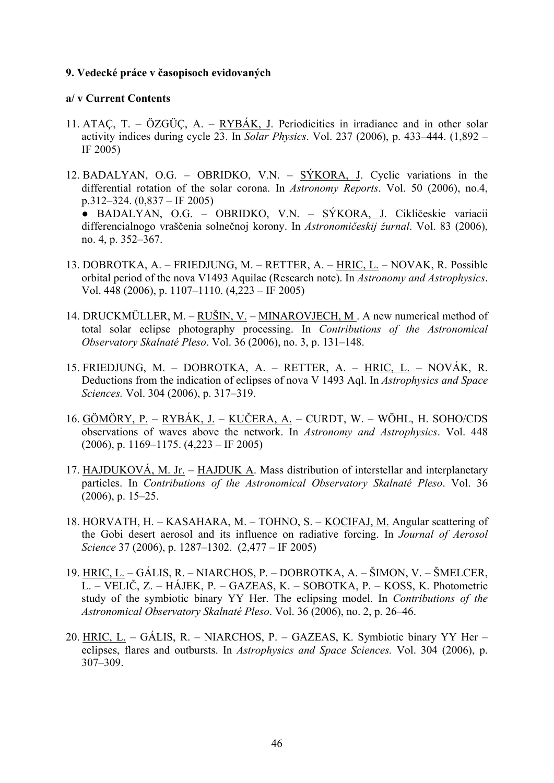### **9. Vedecké práce v časopisoch evidovaných**

### **a/ v Current Contents**

- 11. ATAÇ, T. ÖZGÜÇ, A. RYBÁK, J. Periodicities in irradiance and in other solar activity indices during cycle 23. In *Solar Physics*. Vol. 237 (2006), p. 433–444. (1,892 – IF 2005)
- 12. BADALYAN, O.G. OBRIDKO, V.N. SÝKORA, J. Cyclic variations in the differential rotation of the solar corona. In *Astronomy Reports*. Vol. 50 (2006), no.4, p.312–324. (0,837 – IF 2005)

● BADALYAN, O.G. – OBRIDKO, V.N. – SÝKORA, J. Cikličeskie variacii differencialnogo vraščenia solnečnoj korony. In *Astronomičeskij žurnal*. Vol. 83 (2006), no. 4, p. 352–367.

- 13. DOBROTKA, A. FRIEDJUNG, M. RETTER, A. HRIC, L. NOVAK, R. Possible orbital period of the nova V1493 Aquilae (Research note). In *Astronomy and Astrophysics*. Vol. 448 (2006), p. 1107–1110. (4,223 – IF 2005)
- 14. DRUCKMÜLLER, M. RUŠIN, V. MINAROVJECH, M. A new numerical method of total solar eclipse photography processing. In *Contributions of the Astronomical Observatory Skalnaté Pleso*. Vol. 36 (2006), no. 3, p. 131–148.
- 15. FRIEDJUNG, M. DOBROTKA, A. RETTER, A. HRIC, L. NOVÁK, R. Deductions from the indication of eclipses of nova V 1493 Aql. In *Astrophysics and Space Sciences.* Vol. 304 (2006), p. 317–319.
- 16. GÖMÖRY, P. RYBÁK, J. KUČERA, A. CURDT, W. WÖHL, H. SOHO/CDS observations of waves above the network. In *Astronomy and Astrophysics*. Vol. 448 (2006), p. 1169–1175. (4,223 – IF 2005)
- 17. HAJDUKOVÁ, M. Jr. HAJDUK A. Mass distribution of interstellar and interplanetary particles. In *Contributions of the Astronomical Observatory Skalnaté Pleso*. Vol. 36 (2006), p. 15–25.
- 18. HORVATH, H. KASAHARA, M. TOHNO, S. KOCIFAJ, M. Angular scattering of the Gobi desert aerosol and its influence on radiative forcing. In *Journal of Aerosol Science* 37 (2006), p. 1287–1302. (2,477 – IF 2005)
- 19. HRIC, L. GÁLIS, R. NIARCHOS, P. DOBROTKA, A. ŠIMON, V. ŠMELCER, L. – VELIČ, Z. – HÁJEK, P. – GAZEAS, K. – SOBOTKA, P. – KOSS, K. Photometric study of the symbiotic binary YY Her. The eclipsing model. In *Contributions of the Astronomical Observatory Skalnaté Pleso*. Vol. 36 (2006), no. 2, p. 26–46.
- 20. HRIC, L. GÁLIS, R. NIARCHOS, P. GAZEAS, K. Symbiotic binary YY Her eclipses, flares and outbursts. In *Astrophysics and Space Sciences.* Vol. 304 (2006), p. 307–309.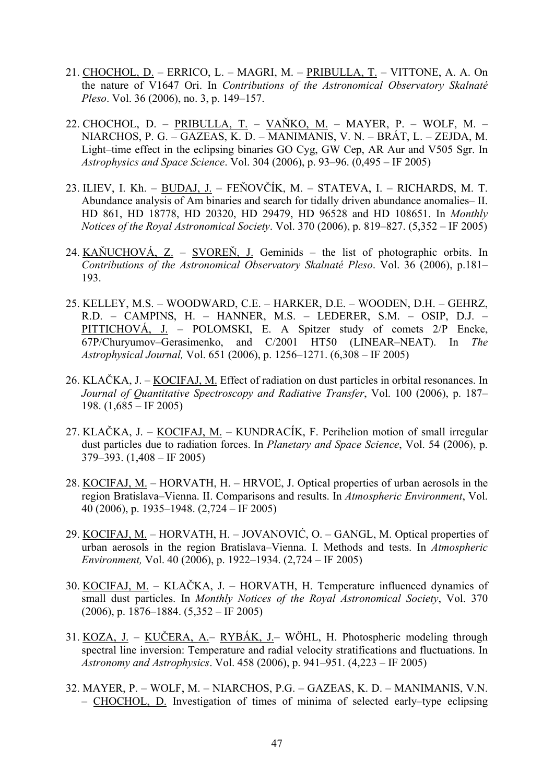- 21. CHOCHOL, D. ERRICO, L. MAGRI, M. PRIBULLA, T. VITTONE, A. A. On the nature of V1647 Ori. In *Contributions of the Astronomical Observatory Skalnaté Pleso*. Vol. 36 (2006), no. 3, p. 149–157.
- 22. CHOCHOL, D. PRIBULLA, T. VAŇKO, M. MAYER, P. WOLF, M. NIARCHOS, P. G. – GAZEAS, K. D. – MANIMANIS, V. N. – BRÁT, L. – ZEJDA, M. Light–time effect in the eclipsing binaries GO Cyg, GW Cep, AR Aur and V505 Sgr. In *Astrophysics and Space Science*. Vol. 304 (2006), p. 93–96. (0,495 – IF 2005)
- 23. ILIEV, I. Kh. BUDAJ, J. FEŇOVČÍK, M. STATEVA, I. RICHARDS, M. T. Abundance analysis of Am binaries and search for tidally driven abundance anomalies– II. HD 861, HD 18778, HD 20320, HD 29479, HD 96528 and HD 108651. In *Monthly Notices of the Royal Astronomical Society*. Vol. 370 (2006), p. 819–827. (5,352 – IF 2005)
- 24. KAŇUCHOVÁ, Z. SVOREŇ, J. Geminids the list of photographic orbits. In *Contributions of the Astronomical Observatory Skalnaté Pleso*. Vol. 36 (2006), p.181– 193.
- 25. KELLEY, M.S. WOODWARD, C.E. HARKER, D.E. WOODEN, D.H. GEHRZ, R.D. – CAMPINS, H. – HANNER, M.S. – LEDERER, S.M. – OSIP, D.J. – PITTICHOVÁ, J. – POLOMSKI, E. A Spitzer study of comets  $2/P$  Encke, 67P/Churyumov–Gerasimenko, and C/2001 HT50 (LINEAR–NEAT). In *The Astrophysical Journal,* Vol. 651 (2006), p. 1256–1271. (6,308 – IF 2005)
- 26. KLAČKA, J. KOCIFAJ, M. Effect of radiation on dust particles in orbital resonances. In *Journal of Quantitative Spectroscopy and Radiative Transfer*, Vol. 100 (2006), p. 187– 198.  $(1,685 - \text{IF } 2005)$
- 27. KLAČKA, J. KOCIFAJ, M. KUNDRACÍK, F. Perihelion motion of small irregular dust particles due to radiation forces. In *Planetary and Space Science*, Vol. 54 (2006), p.  $379-393. (1,408 - IF 2005)$
- 28. KOCIFAJ, M. HORVATH, H. HRVOĽ, J. Optical properties of urban aerosols in the region Bratislava–Vienna. II. Comparisons and results. In *Atmospheric Environment*, Vol. 40 (2006), p. 1935–1948. (2,724 – IF 2005)
- 29. KOCIFAJ, M. HORVATH, H. JOVANOVIĆ, O. GANGL, M. Optical properties of urban aerosols in the region Bratislava–Vienna. I. Methods and tests. In *Atmospheric Environment,* Vol. 40 (2006), p. 1922–1934. (2,724 – IF 2005)
- 30. KOCIFAJ, M. KLAČKA, J. HORVATH, H. Temperature influenced dynamics of small dust particles. In *Monthly Notices of the Royal Astronomical Society*, Vol. 370 (2006), p. 1876–1884. (5,352 – IF 2005)
- 31. KOZA, J. KUČERA, A.– RYBÁK, J.– WÖHL, H. Photospheric modeling through spectral line inversion: Temperature and radial velocity stratifications and fluctuations. In *Astronomy and Astrophysics*. Vol. 458 (2006), p. 941–951. (4,223 – IF 2005)
- 32. MAYER, P. WOLF, M. NIARCHOS, P.G. GAZEAS, K. D. MANIMANIS, V.N. – CHOCHOL, D. Investigation of times of minima of selected early–type eclipsing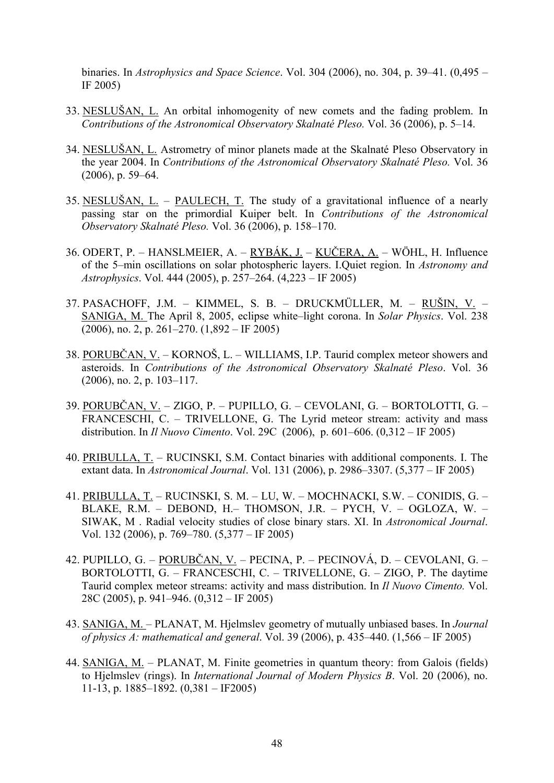binaries. In *Astrophysics and Space Science*. Vol. 304 (2006), no. 304, p. 39–41. (0,495 – IF 2005)

- 33. NESLUŠAN, L. An orbital inhomogenity of new comets and the fading problem. In *Contributions of the Astronomical Observatory Skalnaté Pleso.* Vol. 36 (2006), p. 5–14.
- 34. NESLUŠAN, L. Astrometry of minor planets made at the Skalnaté Pleso Observatory in the year 2004. In *Contributions of the Astronomical Observatory Skalnaté Pleso.* Vol. 36 (2006), p. 59–64.
- 35. NESLUŠAN, L. PAULECH, T. The study of a gravitational influence of a nearly passing star on the primordial Kuiper belt. In *Contributions of the Astronomical Observatory Skalnaté Pleso.* Vol. 36 (2006), p. 158–170.
- 36. ODERT, P. HANSLMEIER, A. RYBÁK, J. KUČERA, A. WÖHL, H. Influence of the 5–min oscillations on solar photospheric layers. I.Quiet region. In *Astronomy and Astrophysics*. Vol. 444 (2005), p. 257–264. (4,223 – IF 2005)
- 37. PASACHOFF, J.M. KIMMEL, S. B. DRUCKMÜLLER, M. RUŠIN, V. SANIGA, M. The April 8, 2005, eclipse white–light corona. In *Solar Physics*. Vol. 238  $(2006)$ , no. 2, p. 261–270.  $(1,892 - \text{IF } 2005)$
- 38. PORUBČAN, V. KORNOŠ, L. WILLIAMS, I.P. Taurid complex meteor showers and asteroids. In *Contributions of the Astronomical Observatory Skalnaté Pleso*. Vol. 36 (2006), no. 2, p. 103–117.
- 39. PORUBČAN, V. ZIGO, P. PUPILLO, G. CEVOLANI, G. BORTOLOTTI, G. FRANCESCHI, C. – TRIVELLONE, G. The Lyrid meteor stream: activity and mass distribution. In *Il Nuovo Cimento*. Vol. 29C (2006), p. 601–606. (0,312 – IF 2005)
- 40. PRIBULLA, T. RUCINSKI, S.M. Contact binaries with additional components. I. The extant data. In *Astronomical Journal*. Vol. 131 (2006), p. 2986–3307. (5,377 – IF 2005)
- 41. PRIBULLA, T. RUCINSKI, S. M. LU, W. MOCHNACKI, S.W. CONIDIS, G. BLAKE, R.M. – DEBOND, H.– THOMSON, J.R. – PYCH, V. – OGLOZA, W. – SIWAK, M . Radial velocity studies of close binary stars. XI. In *Astronomical Journal*. Vol. 132 (2006), p. 769–780. (5,377 – IF 2005)
- 42. PUPILLO, G. PORUBČAN, V. PECINA, P. PECINOVÁ, D. CEVOLANI, G. BORTOLOTTI, G. – FRANCESCHI, C. – TRIVELLONE, G. – ZIGO, P. The daytime Taurid complex meteor streams: activity and mass distribution. In *Il Nuovo Cimento.* Vol. 28C (2005), p. 941–946. (0,312 – IF 2005)
- 43. SANIGA, M. PLANAT, M. Hjelmslev geometry of mutually unbiased bases. In *Journal of physics A: mathematical and general*. Vol. 39 (2006), p. 435–440. (1,566 – IF 2005)
- 44. SANIGA, M. PLANAT, M. Finite geometries in quantum theory: from Galois (fields) to Hjelmslev (rings). In *International Journal of Modern Physics B*. Vol. 20 (2006), no. 11-13, p. 1885–1892. (0,381 – IF2005)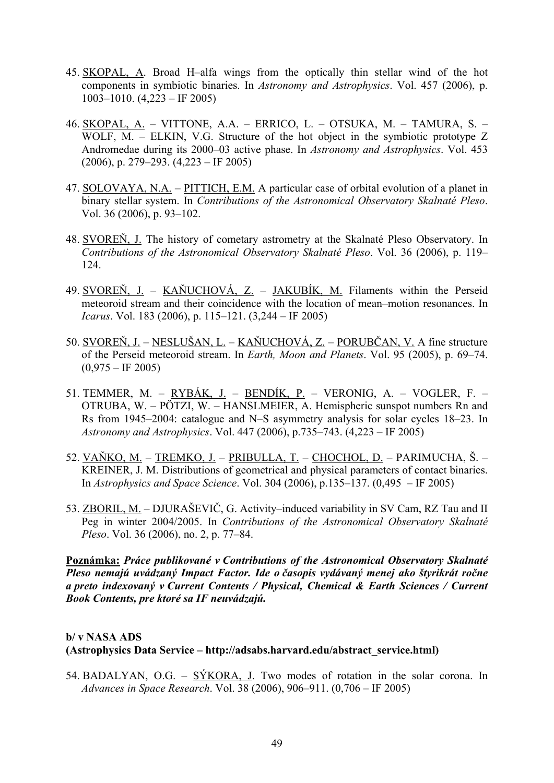- 45. SKOPAL, A. Broad H–alfa wings from the optically thin stellar wind of the hot components in symbiotic binaries. In *Astronomy and Astrophysics*. Vol. 457 (2006), p. 1003–1010. (4,223 – IF 2005)
- 46. SKOPAL, A. VITTONE, A.A. ERRICO, L. OTSUKA, M. TAMURA, S. WOLF, M. – ELKIN, V.G. Structure of the hot object in the symbiotic prototype Z Andromedae during its 2000–03 active phase. In *Astronomy and Astrophysics*. Vol. 453 (2006), p. 279–293. (4,223 – IF 2005)
- 47. SOLOVAYA, N.A. PITTICH, E.M. A particular case of orbital evolution of a planet in binary stellar system. In *Contributions of the Astronomical Observatory Skalnaté Pleso*. Vol. 36 (2006), p. 93–102.
- 48. SVOREŇ, J. The history of cometary astrometry at the Skalnaté Pleso Observatory. In *Contributions of the Astronomical Observatory Skalnaté Pleso*. Vol. 36 (2006), p. 119– 124.
- 49. SVOREŇ, J. KAŇUCHOVÁ, Z. JAKUBÍK, M. Filaments within the Perseid meteoroid stream and their coincidence with the location of mean–motion resonances. In *Icarus*. Vol. 183 (2006), p. 115–121. (3,244 – IF 2005)
- 50. SVOREŇ, J. NESLUŠAN, L. KAŇUCHOVÁ, Z. PORUBČAN, V. A fine structure of the Perseid meteoroid stream. In *Earth, Moon and Planets*. Vol. 95 (2005), p. 69–74.  $(0,975 - IF 2005)$
- 51. TEMMER, M. RYBÁK, J. BENDÍK, P. VERONIG, A. VOGLER, F. OTRUBA, W. – PÖTZI, W. – HANSLMEIER, A. Hemispheric sunspot numbers Rn and Rs from 1945–2004: catalogue and N–S asymmetry analysis for solar cycles 18–23. In *Astronomy and Astrophysics*. Vol. 447 (2006), p.735–743. (4,223 – IF 2005)
- 52. VAŇKO, M. TREMKO, J. PRIBULLA, T. CHOCHOL, D. PARIMUCHA, Š. KREINER, J. M. Distributions of geometrical and physical parameters of contact binaries. In *Astrophysics and Space Science*. Vol. 304 (2006), p.135–137. (0,495 – IF 2005)
- 53. ZBORIL, M. DJURAŠEVIČ, G. Activity–induced variability in SV Cam, RZ Tau and II Peg in winter 2004/2005. In *Contributions of the Astronomical Observatory Skalnaté Pleso*. Vol. 36 (2006), no. 2, p. 77–84.

**Poznámka:** *Práce publikované v Contributions of the Astronomical Observatory Skalnaté Pleso nemajú uvádzaný Impact Factor. Ide o časopis vydávaný menej ako štyrikrát ročne a preto indexovaný v Current Contents / Physical, Chemical & Earth Sciences / Current Book Contents, pre ktoré sa IF neuvádzajú.*

# **b/ v NASA ADS (Astrophysics Data Service – http://adsabs.harvard.edu/abstract\_service.html)**

54. BADALYAN, O.G. – SÝKORA, J. Two modes of rotation in the solar corona. In *Advances in Space Research*. Vol. 38 (2006), 906–911. (0,706 – IF 2005)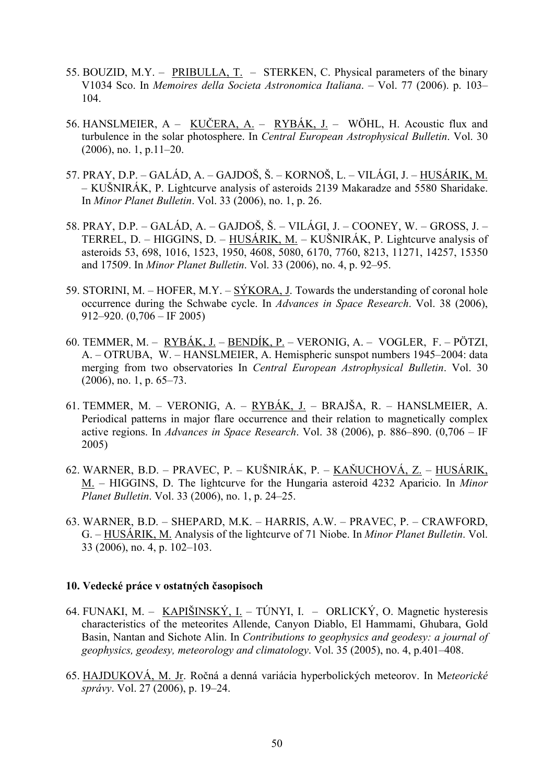- 55. BOUZID, M.Y. PRIBULLA, T. STERKEN, C. Physical parameters of the binary V1034 Sco. In *Memoires della Societa Astronomica Italiana*. – Vol. 77 (2006). p. 103– 104.
- 56. HANSLMEIER, A KUČERA, A. RYBÁK, J. WÖHL, H. Acoustic flux and turbulence in the solar photosphere. In *Central European Astrophysical Bulletin*. Vol. 30 (2006), no. 1, p.11–20.
- 57. PRAY, D.P. GALÁD, A. GAJDOŠ, Š. KORNOŠ, L. VILÁGI, J. HUSÁRIK, M. – KUŠNIRÁK, P. Lightcurve analysis of asteroids 2139 Makaradze and 5580 Sharidake. In *Minor Planet Bulletin*. Vol. 33 (2006), no. 1, p. 26.
- 58. PRAY, D.P. GALÁD, A. GAJDOŠ, Š. VILÁGI, J. COONEY, W. GROSS, J. TERREL, D. – HIGGINS, D. – HUSÁRIK, M. – KUŠNIRÁK, P. Lightcurve analysis of asteroids 53, 698, 1016, 1523, 1950, 4608, 5080, 6170, 7760, 8213, 11271, 14257, 15350 and 17509. In *Minor Planet Bulletin*. Vol. 33 (2006), no. 4, p. 92–95.
- 59. STORINI, M. HOFER, M.Y. SÝKORA, J. Towards the understanding of coronal hole occurrence during the Schwabe cycle. In *Advances in Space Research*. Vol. 38 (2006), 912–920. (0,706 – IF 2005)
- 60. TEMMER, M. RYBÁK, J. BENDÍK, P. VERONIG, A. VOGLER, F. PÖTZI, A. – OTRUBA, W. – HANSLMEIER, A. Hemispheric sunspot numbers 1945–2004: data merging from two observatories In *Central European Astrophysical Bulletin*. Vol. 30 (2006), no. 1, p. 65–73.
- 61. TEMMER, M. VERONIG, A. RYBÁK, J. BRAJŠA, R. HANSLMEIER, A. Periodical patterns in major flare occurrence and their relation to magnetically complex active regions. In *Advances in Space Research*. Vol. 38 (2006), p. 886–890. (0,706 – IF 2005)
- 62. WARNER, B.D. PRAVEC, P. KUŠNIRÁK, P. KAŇUCHOVÁ, Z. HUSÁRIK, M. – HIGGINS, D. The lightcurve for the Hungaria asteroid 4232 Aparicio. In *Minor Planet Bulletin*. Vol. 33 (2006), no. 1, p. 24–25.
- 63. WARNER, B.D. SHEPARD, M.K. HARRIS, A.W. PRAVEC, P. CRAWFORD, G. – HUSÁRIK, M. Analysis of the lightcurve of 71 Niobe. In *Minor Planet Bulletin*. Vol. 33 (2006), no. 4, p. 102–103.

### **10. Vedecké práce v ostatných časopisoch**

- 64. FUNAKI, M. KAPIŠINSKÝ, I. TÚNYI, I. ORLICKÝ, O. Magnetic hysteresis characteristics of the meteorites Allende, Canyon Diablo, El Hammami, Ghubara, Gold Basin, Nantan and Sichote Alin. In *Contributions to geophysics and geodesy: a journal of geophysics, geodesy, meteorology and climatology*. Vol. 35 (2005), no. 4, p.401–408.
- 65. HAJDUKOVÁ, M. Jr. Ročná a denná variácia hyperbolických meteorov. In M*eteorické správy*. Vol. 27 (2006), p. 19–24.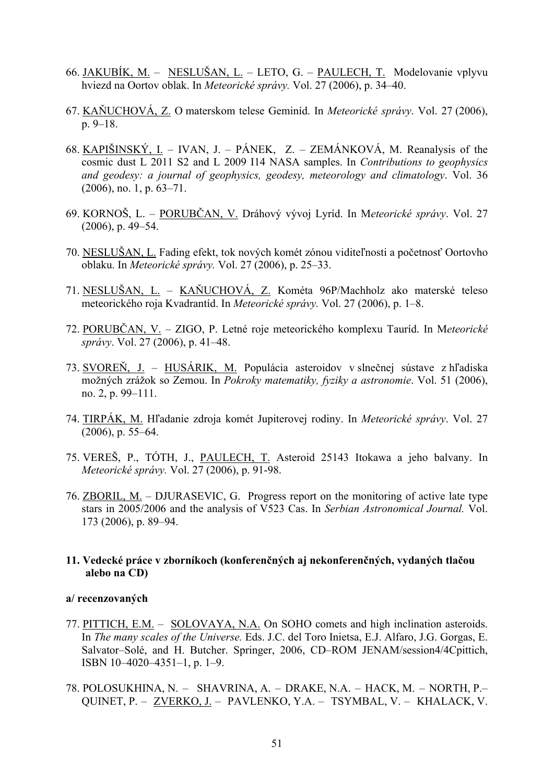- 66. JAKUBÍK, M. NESLUŠAN, L. LETO, G. PAULECH, T. Modelovanie vplyvu hviezd na Oortov oblak. In *Meteorické správy.* Vol. 27 (2006), p. 34–40.
- 67. KAŇUCHOVÁ, Z. O materskom telese Geminíd. In *Meteorické správy*. Vol. 27 (2006), p. 9–18.
- 68. KAPIŠINSKÝ, I. IVAN, J. PÁNEK, Z. ZEMÁNKOVÁ, M. Reanalysis of the cosmic dust L 2011 S2 and L 2009 I14 NASA samples. In *Contributions to geophysics and geodesy: a journal of geophysics, geodesy, meteorology and climatology*. Vol. 36 (2006), no. 1, p. 63–71.
- 69. KORNOŠ, L. PORUBČAN, V. Dráhový vývoj Lyríd. In M*eteorické správy*. Vol. 27 (2006), p. 49–54.
- 70. NESLUŠAN, L. Fading efekt, tok nových komét zónou viditeľnosti a početnosť Oortovho oblaku. In *Meteorické správy.* Vol. 27 (2006), p. 25–33.
- 71. NESLUŠAN, L. KAŇUCHOVÁ, Z. Kométa 96P/Machholz ako materské teleso meteorického roja Kvadrantíd. In *Meteorické správy.* Vol. 27 (2006), p. 1–8.
- 72. PORUBČAN, V. ZIGO, P. Letné roje meteorického komplexu Tauríd. In M*eteorické správy*. Vol. 27 (2006), p. 41–48.
- 73. SVOREŇ, J. HUSÁRIK, M. Populácia asteroidov v slnečnej sústave z hľadiska možných zrážok so Zemou. In *Pokroky matematiky, fyziky a astronomie*. Vol. 51 (2006), no. 2, p. 99–111.
- 74. TIRPÁK, M. Hľadanie zdroja komét Jupiterovej rodiny. In *Meteorické správy*. Vol. 27 (2006), p. 55–64.
- 75. VEREŠ, P., TÓTH, J., PAULECH, T. Asteroid 25143 Itokawa a jeho balvany. In *Meteorické správy.* Vol. 27 (2006), p. 91-98.
- 76. ZBORIL, M. DJURASEVIC, G. Progress report on the monitoring of active late type stars in 2005/2006 and the analysis of V523 Cas. In *Serbian Astronomical Journal.* Vol. 173 (2006), p. 89–94.

### **11. Vedecké práce v zborníkoch (konferenčných aj nekonferenčných, vydaných tlačou alebo na CD)**

#### **a/ recenzovaných**

- 77. PITTICH, E.M. SOLOVAYA, N.A. On SOHO comets and high inclination asteroids. In *The many scales of the Universe.* Eds. J.C. del Toro Inietsa, E.J. Alfaro, J.G. Gorgas, E. Salvator–Solé, and H. Butcher. Springer, 2006, CD–ROM JENAM/session4/4Cpittich, ISBN 10–4020–4351–1, p. 1–9.
- 78. POLOSUKHINA, N. SHAVRINA, A. DRAKE, N.A. HACK, M. NORTH, P.– QUINET, P. – ZVERKO, J. – PAVLENKO, Y.A. – TSYMBAL, V. – KHALACK, V.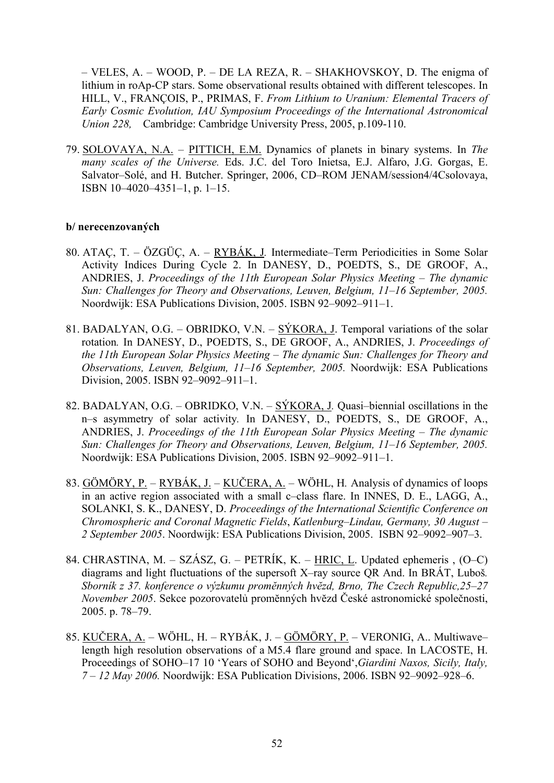– VELES, A. – WOOD, P. – DE LA REZA, R. – SHAKHOVSKOY, D. The enigma of lithium in roAp-CP stars. Some observational results obtained with different telescopes. In HILL, V., FRANÇOIS, P., PRIMAS, F. *From Lithium to Uranium: Elemental Tracers of Early Cosmic Evolution, IAU Symposium Proceedings of the International Astronomical Union 228,* Cambridge: Cambridge University Press, 2005, p.109-110.

79. SOLOVAYA, N.A. – PITTICH, E.M. Dynamics of planets in binary systems. In *The many scales of the Universe.* Eds. J.C. del Toro Inietsa, E.J. Alfaro, J.G. Gorgas, E. Salvator–Solé, and H. Butcher. Springer, 2006, CD–ROM JENAM/session4/4Csolovaya, ISBN 10–4020–4351–1, p. 1–15.

### **b/ nerecenzovaných**

- 80. ATAÇ, T. ÖZGÜÇ, A. RYBÁK, J*.* Intermediate–Term Periodicities in Some Solar Activity Indices During Cycle 2. In DANESY, D., POEDTS, S., DE GROOF, A., ANDRIES, J. *Proceedings of the 11th European Solar Physics Meeting – The dynamic Sun: Challenges for Theory and Observations, Leuven, Belgium, 11–16 September, 2005.* Noordwijk: ESA Publications Division, 2005. ISBN 92–9092–911–1.
- 81. BADALYAN, O.G. OBRIDKO, V.N.  $S\acute{Y}KORA$ , J. Temporal variations of the solar rotation*.* In DANESY, D., POEDTS, S., DE GROOF, A., ANDRIES, J. *Proceedings of the 11th European Solar Physics Meeting – The dynamic Sun: Challenges for Theory and Observations, Leuven, Belgium, 11–16 September, 2005.* Noordwijk: ESA Publications Division, 2005. ISBN 92–9092–911–1.
- 82. BADALYAN, O.G. OBRIDKO, V.N. SÝKORA, J*.* Quasi–biennial oscillations in the n–s asymmetry of solar activity*.* In DANESY, D., POEDTS, S., DE GROOF, A., ANDRIES, J. *Proceedings of the 11th European Solar Physics Meeting – The dynamic Sun: Challenges for Theory and Observations, Leuven, Belgium, 11–16 September, 2005.* Noordwijk: ESA Publications Division, 2005. ISBN 92–9092–911–1.
- 83. GÖMÖRY, P. RYBÁK, J. KUČERA, A. WÖHL, H*.* Analysis of dynamics of loops in an active region associated with a small c–class flare. In INNES, D. E., LAGG, A., SOLANKI, S. K., DANESY, D. *Proceedings of the International Scientific Conference on Chromospheric and Coronal Magnetic Fields*, *Katlenburg–Lindau, Germany, 30 August – 2 September 2005*. Noordwijk: ESA Publications Division, 2005. ISBN 92–9092–907–3.
- 84. CHRASTINA, M. SZÁSZ, G. PETRÍK, K. HRIC, L. Updated ephemeris , (O–C) diagrams and light fluctuations of the supersoft X–ray source QR And. In BRÁT, Luboš*. Sborník z 37. konference o výzkumu promĕnných hvĕzd, Brno, The Czech Republic,25–27 November 2005*. Sekce pozorovatelủ promĕnných hvĕzd České astronomické společnosti, 2005. p. 78–79.
- 85. KUČERA, A. WÖHL, H. RYBÁK, J. GÖMÖRY, P. VERONIG, A.. Multiwave– length high resolution observations of a M5.4 flare ground and space. In LACOSTE, H. Proceedings of SOHO–17 10 'Years of SOHO and Beyond',*Giardini Naxos, Sicily, Italy, 7 – 12 May 2006.* Noordwijk: ESA Publication Divisions, 2006. ISBN 92–9092–928–6.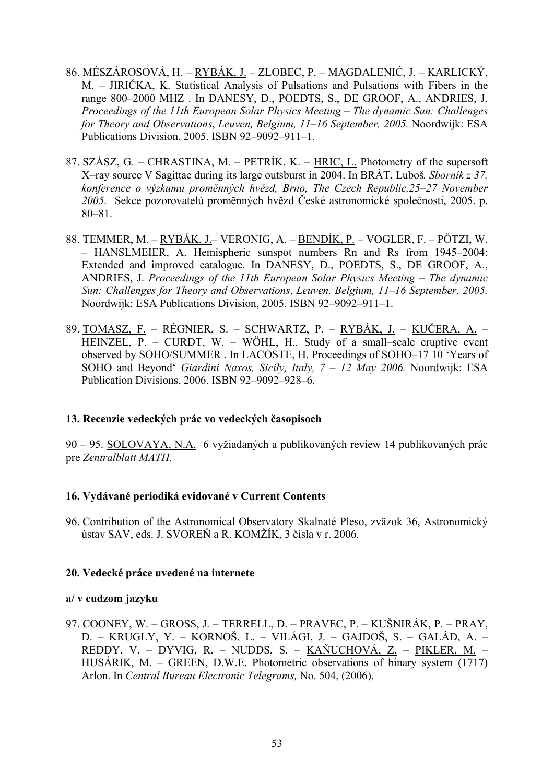- 86. MÉSZÁROSOVÁ, H. RYBÁK, J. ZLOBEC, P. MAGDALENIĆ, J. KARLICKÝ, M. – JIRIČKA, K. Statistical Analysis of Pulsations and Pulsations with Fibers in the range 800–2000 MHZ . In DANESY, D., POEDTS, S., DE GROOF, A., ANDRIES, J. *Proceedings of the 11th European Solar Physics Meeting – The dynamic Sun: Challenges for Theory and Observations*, *Leuven, Belgium, 11–16 September, 2005.* Noordwijk: ESA Publications Division, 2005. ISBN 92–9092–911–1.
- 87. SZÁSZ, G. CHRASTINA, M. PETRÍK, K. HRIC, L. Photometry of the supersoft X–ray source V Sagittae during its large outsburst in 2004. In BRÁT, Luboš*. Sborník z 37. konference o výzkumu promĕnných hvĕzd, Brno, The Czech Republic,25–27 November 2005*. Sekce pozorovatelủ promĕnných hvĕzd České astronomické společnosti, 2005. p. 80–81.
- 88. TEMMER, M. RYBÁK, J.– VERONIG, A. BENDÍK, P. VOGLER, F. PÖTZI, W. – HANSLMEIER, A. Hemispheric sunspot numbers Rn and Rs from 1945–2004: Extended and improved catalogue*.* In DANESY, D., POEDTS, S., DE GROOF, A., ANDRIES, J. *Proceedings of the 11th European Solar Physics Meeting – The dynamic Sun: Challenges for Theory and Observations*, *Leuven, Belgium, 11–16 September, 2005.* Noordwijk: ESA Publications Division, 2005. ISBN 92–9092–911–1.
- 89. TOMASZ, F. RÉGNIER, S. SCHWARTZ, P. RYBÁK, J. KUČERA, A. HEINZEL,  $\overline{P}$ . – CURDT, W. – WÖHL, H., Study of a small–scale eruptive event observed by SOHO/SUMMER . In LACOSTE, H. Proceedings of SOHO–17 10 'Years of SOHO and Beyond' *Giardini Naxos, Sicily, Italy, 7 – 12 May 2006.* Noordwijk: ESA Publication Divisions, 2006. ISBN 92–9092–928–6.

# **13. Recenzie vedeckých prác vo vedeckých časopisoch**

90 – 95. SOLOVAYA, N.A. 6 vyžiadaných a publikovaných review 14 publikovaných prác pre *Zentralblatt MATH.*

### **16. Vydávané periodiká evidované v Current Contents**

96. Contribution of the Astronomical Observatory Skalnaté Pleso, zväzok 36, Astronomický ústav SAV, eds. J. SVOREŇ a R. KOMŽÍK, 3 čísla v r. 2006.

### **20. Vedecké práce uvedené na internete**

### **a/ v cudzom jazyku**

97. COONEY, W. – GROSS, J. – TERRELL, D. – PRAVEC, P. – KUŠNIRÁK, P. – PRAY, D. – KRUGLY, Y. – KORNOŠ, L. – VILÁGI, J. – GAJDOŠ, S. – GALÁD, A. – REDDY, V. – DYVIG, R. – NUDDS, S. – KAŇUCHOVÁ, Z. – PIKLER, M. – HUSÁRIK, M. – GREEN, D.W.E. Photometric observations of binary system (1717) Arlon. In *Central Bureau Electronic Telegrams,* No. 504, (2006).